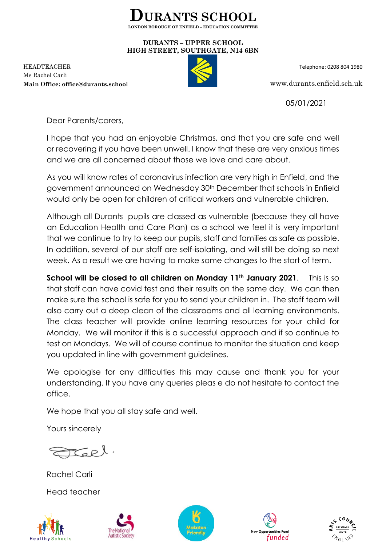

## **DURANTS – UPPER SCHOOL HIGH STREET, SOUTHGATE, N14 6BN**

HEADTEACHER Telephone: 0208 804 1980 Ms Rachel Carli **Main Office: office@durants.school** [www.durants.enfield.sch.uk](http://www.durants.enfield.sch.uk/)



05/01/2021

Dear Parents/carers,

I hope that you had an enjoyable Christmas, and that you are safe and well or recovering if you have been unwell. I know that these are very anxious times and we are all concerned about those we love and care about.

As you will know rates of coronavirus infection are very high in Enfield, and the government announced on Wednesday 30th December that schools in Enfield would only be open for children of critical workers and vulnerable children.

Although all Durants pupils are classed as vulnerable (because they all have an Education Health and Care Plan) as a school we feel it is very important that we continue to try to keep our pupils, staff and families as safe as possible. In addition, several of our staff are self-isolating, and will still be doing so next week. As a result we are having to make some changes to the start of term.

**School will be closed to all children on Monday 11th January 2021**. This is so that staff can have covid test and their results on the same day. We can then make sure the school is safe for you to send your children in. The staff team will also carry out a deep clean of the classrooms and all learning environments. The class teacher will provide online learning resources for your child for Monday. We will monitor if this is a successful approach and if so continue to test on Mondays. We will of course continue to monitor the situation and keep you updated in line with government guidelines.

We apologise for any difficulties this may cause and thank you for your understanding. If you have any queries pleas e do not hesitate to contact the office.

We hope that you all stay safe and well.

Yours sincerely

Rachel Carli Head teacher